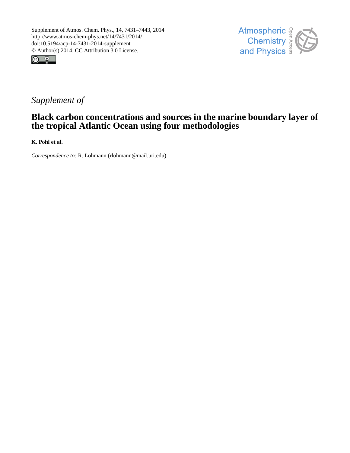



# *Supplement of*

## **Black carbon concentrations and sources in the marine boundary layer of the tropical Atlantic Ocean using four methodologies**

**K. Pohl et al.**

*Correspondence to:* R. Lohmann (rlohmann@mail.uri.edu)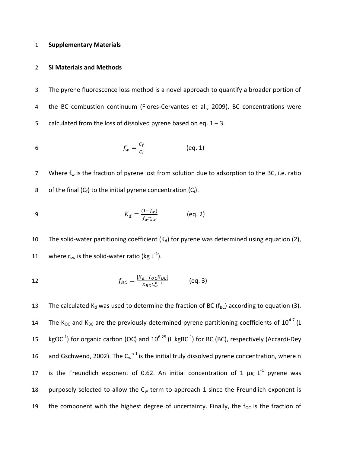#### 1 **Supplementary Materials**

#### 2 **SI Materials and Methods**

3 The pyrene fluorescence loss method is a novel approach to quantify a broader portion of 4 the BC combustion continuum (Flores-Cervantes et al., 2009). BC concentrations were 5 calculated from the loss of dissolved pyrene based on eq.  $1 - 3$ .

$$
f_w = \frac{c_f}{c_i} \tag{eq. 1}
$$

7 Where  $f_w$  is the fraction of pyrene lost from solution due to adsorption to the BC, i.e. ratio 8 of the final  $(C_f)$  to the initial pyrene concentration  $(C_i)$ .

9 
$$
K_d = \frac{(1 - f_w)}{f_w r_{sw}}
$$
 (eq. 2)

10 The solid-water partitioning coefficient  $(K_d)$  for pyrene was determined using equation (2), 11 where  $r_{sw}$  is the solid-water ratio (kg  $L^{-1}$ ).

12 
$$
f_{BC} = \frac{[K_d - f_{OC}K_{OC}]}{K_{BC}C_w^{n-1}}
$$
 (eq. 3)

13 The calculated  $K_d$  was used to determine the fraction of BC ( $f_{BC}$ ) according to equation (3). 14 The K<sub>OC</sub> and K<sub>BC</sub> are the previously determined pyrene partitioning coefficients of  $10^{4.7}$  (L 15 kgOC<sup>-1</sup>) for organic carbon (OC) and  $10^{6.25}$  (L kgBC<sup>-1</sup>) for BC (BC), respectively (Accardi-Dey 16 and Gschwend, 2002). The  $C_w^{n-1}$  is the initial truly dissolved pyrene concentration, where n 17 is the Freundlich exponent of 0.62. An initial concentration of 1  $\mu$ g L<sup>-1</sup> pyrene was 18 purposely selected to allow the  $C_w$  term to approach 1 since the Freundlich exponent is 19 the component with the highest degree of uncertainty. Finally, the  $f_{OC}$  is the fraction of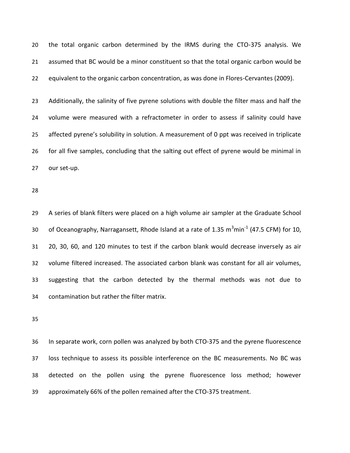the total organic carbon determined by the IRMS during the CTO-375 analysis. We assumed that BC would be a minor constituent so that the total organic carbon would be equivalent to the organic carbon concentration, as was done in Flores-Cervantes (2009).

 Additionally, the salinity of five pyrene solutions with double the filter mass and half the volume were measured with a refractometer in order to assess if salinity could have affected pyrene's solubility in solution. A measurement of 0 ppt was received in triplicate for all five samples, concluding that the salting out effect of pyrene would be minimal in our set-up.

 A series of blank filters were placed on a high volume air sampler at the Graduate School 30 of Oceanography, Narragansett, Rhode Island at a rate of 1.35  $m^3$ min<sup>-1</sup> (47.5 CFM) for 10, 20, 30, 60, and 120 minutes to test if the carbon blank would decrease inversely as air volume filtered increased. The associated carbon blank was constant for all air volumes, suggesting that the carbon detected by the thermal methods was not due to contamination but rather the filter matrix.

 In separate work, corn pollen was analyzed by both CTO-375 and the pyrene fluorescence loss technique to assess its possible interference on the BC measurements. No BC was detected on the pollen using the pyrene fluorescence loss method; however approximately 66% of the pollen remained after the CTO-375 treatment.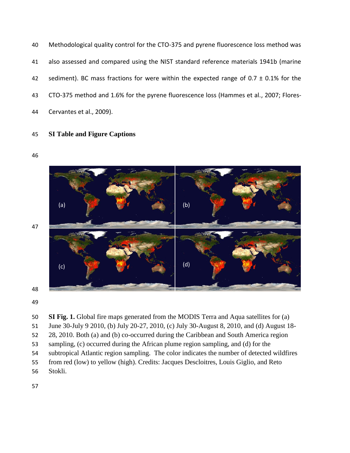- Methodological quality control for the CTO-375 and pyrene fluorescence loss method was also assessed and compared using the NIST standard reference materials 1941b (marine 42 sediment). BC mass fractions for were within the expected range of  $0.7 \pm 0.1\%$  for the CTO-375 method and 1.6% for the pyrene fluorescence loss (Hammes et al., 2007; Flores-Cervantes et al., 2009).
- **SI Table and Figure Captions**







 **SI Fig. 1.** Global fire maps generated from the MODIS Terra and Aqua satellites for (a) June 30-July 9 2010, (b) July 20-27, 2010, (c) July 30-August 8, 2010, and (d) August 18- 28, 2010. Both (a) and (b) co-occurred during the Caribbean and South America region sampling, (c) occurred during the African plume region sampling, and (d) for the subtropical Atlantic region sampling. The color indicates the number of detected wildfires from red (low) to yellow (high). Credits: Jacques Descloitres, Louis Giglio, and Reto Stokli.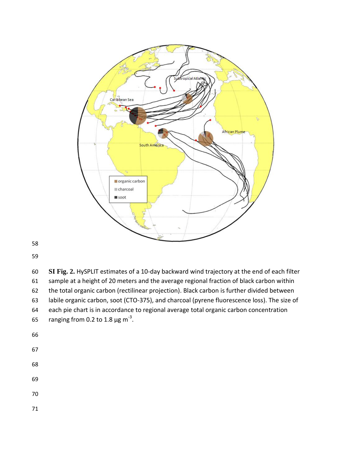

 **SI Fig. 2.** HySPLIT estimates of a 10-day backward wind trajectory at the end of each filter sample at a height of 20 meters and the average regional fraction of black carbon within the total organic carbon (rectilinear projection). Black carbon is further divided between labile organic carbon, soot (CTO-375), and charcoal (pyrene fluorescence loss). The size of each pie chart is in accordance to regional average total organic carbon concentration 65 ranging from 0.2 to 1.8  $\mu$ g m<sup>-3</sup>. 

- 
- 
- 
- 
-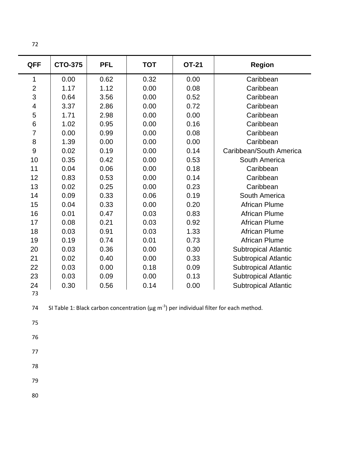| ۰.<br>원 사 |
|-----------|
|           |

| <b>QFF</b>               | <b>CTO-375</b> | <b>PFL</b> | <b>TOT</b> | <b>OT-21</b> | <b>Region</b>               |  |
|--------------------------|----------------|------------|------------|--------------|-----------------------------|--|
| 1                        | 0.00           | 0.62       | 0.32       | 0.00         | Caribbean                   |  |
| $\overline{2}$           | 1.17           | 1.12       | 0.00       | 0.08         | Caribbean                   |  |
| 3                        | 0.64           | 3.56       | 0.00       | 0.52         | Caribbean                   |  |
| $\overline{\mathcal{A}}$ | 3.37           | 2.86       | 0.00       | 0.72         | Caribbean                   |  |
| 5                        | 1.71           | 2.98       | 0.00       | 0.00         | Caribbean                   |  |
| 6                        | 1.02           | 0.95       | 0.00       | 0.16         | Caribbean                   |  |
| $\overline{7}$           | 0.00           | 0.99       | 0.00       | 0.08         | Caribbean                   |  |
| 8                        | 1.39           | 0.00       | 0.00       | 0.00         | Caribbean                   |  |
| 9                        | 0.02           | 0.19       | 0.00       | 0.14         | Caribbean/South America     |  |
| 10                       | 0.35           | 0.42       | 0.00       | 0.53         | South America               |  |
| 11                       | 0.04           | 0.06       | 0.00       | 0.18         | Caribbean                   |  |
| 12                       | 0.83           | 0.53       | 0.00       | 0.14         | Caribbean                   |  |
| 13                       | 0.02           | 0.25       | 0.00       | 0.23         | Caribbean                   |  |
| 14                       | 0.09           | 0.33       | 0.06       | 0.19         | South America               |  |
| 15                       | 0.04           | 0.33       | 0.00       | 0.20         | <b>African Plume</b>        |  |
| 16                       | 0.01           | 0.47       | 0.03       | 0.83         | <b>African Plume</b>        |  |
| 17                       | 0.08           | 0.21       | 0.03       | 0.92         | <b>African Plume</b>        |  |
| 18                       | 0.03           | 0.91       | 0.03       | 1.33         | <b>African Plume</b>        |  |
| 19                       | 0.19           | 0.74       | 0.01       | 0.73         | <b>African Plume</b>        |  |
| 20                       | 0.03           | 0.36       | 0.00       | 0.30         | <b>Subtropical Atlantic</b> |  |
| 21                       | 0.02           | 0.40       | 0.00       | 0.33         | <b>Subtropical Atlantic</b> |  |
| 22                       | 0.03           | 0.00       | 0.18       | 0.09         | <b>Subtropical Atlantic</b> |  |
| 23                       | 0.03           | 0.09       | 0.00       | 0.13         | <b>Subtropical Atlantic</b> |  |
| 24                       | 0.30           | 0.56       | 0.14       | 0.00         | <b>Subtropical Atlantic</b> |  |
| 73                       |                |            |            |              |                             |  |

74 SI Table 1: Black carbon concentration ( $\mu$ g m<sup>-3</sup>) per individual filter for each method.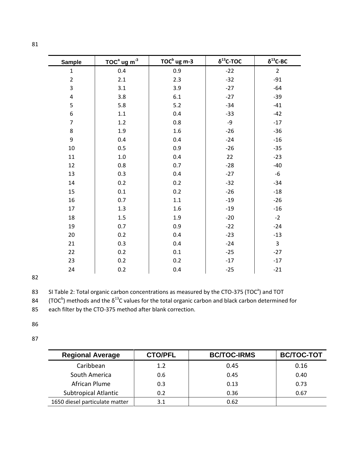| <b>Sample</b>           | $TOCa$ ug m <sup>-3</sup> | TOC <sup>b</sup> ug m-3 | $\delta^{13}$ C-TOC | $\delta^{13}$ C-BC |
|-------------------------|---------------------------|-------------------------|---------------------|--------------------|
| $\mathbf{1}$            | 0.4                       | 0.9                     | $-22$               | $\overline{2}$     |
| $\overline{2}$          | 2.1                       | 2.3                     | $-32$               | $-91$              |
| 3                       | 3.1                       | 3.9                     | $-27$               | $-64$              |
| $\overline{\mathbf{4}}$ | 3.8                       | 6.1                     | $-27$               | $-39$              |
| 5                       | 5.8                       | $5.2$                   | $-34$               | $-41$              |
| 6                       | $1.1\,$                   | 0.4                     | $-33$               | $-42$              |
| $\overline{7}$          | 1.2                       | 0.8                     | $-9$                | $-17$              |
| 8                       | $1.9\,$                   | $1.6\,$                 | $-26$               | $-36$              |
| 9                       | 0.4                       | 0.4                     | $-24$               | $-16$              |
| 10                      | 0.5                       | 0.9                     | $-26$               | $-35$              |
| 11                      | $1.0\,$                   | 0.4                     | 22                  | $-23$              |
| 12                      | $0.8\,$                   | 0.7                     | $-28$               | $-40$              |
| 13                      | 0.3                       | 0.4                     | $-27$               | $-6$               |
| 14                      | 0.2                       | 0.2                     | $-32$               | $-34$              |
| 15                      | 0.1                       | 0.2                     | $-26$               | $-18$              |
| 16                      | 0.7                       | $1.1\,$                 | $-19$               | $-26$              |
| 17                      | $1.3\,$                   | $1.6\,$                 | $-19$               | $-16$              |
| 18                      | 1.5                       | 1.9                     | $-20$               | $-2$               |
| 19                      | 0.7                       | 0.9                     | $-22$               | $-24$              |
| 20                      | 0.2                       | 0.4                     | $-23$               | $-13$              |
| 21                      | 0.3                       | 0.4                     | $-24$               | $\overline{3}$     |
| 22                      | 0.2                       | $0.1\,$                 | $-25$               | $-27$              |
| 23                      | 0.2                       | 0.2                     | $-17$               | $-17$              |
| 24                      | 0.2                       | 0.4                     | $-25$               | $-21$              |

83 SI Table 2: Total organic carbon concentrations as measured by the CTO-375 (TOC<sup>a</sup>) and TOT

84 (TOC<sup>b</sup>) methods and the  $\delta^{13}$ C values for the total organic carbon and black carbon determined for

each filter by the CTO-375 method after blank correction.

- 
- 

| <b>Regional Average</b>        | <b>CTO/PFL</b> | <b>BC/TOC-IRMS</b> | <b>BC/TOC-TOT</b> |
|--------------------------------|----------------|--------------------|-------------------|
| Caribbean                      | 1.2            | 0.45               | 0.16              |
| South America                  | 0.6            | 0.45               | 0.40              |
| African Plume                  | 0.3            | 0.13               | 0.73              |
| <b>Subtropical Atlantic</b>    | 0.2            | 0.36               | 0.67              |
| 1650 diesel particulate matter | 3.1            | 0.62               |                   |